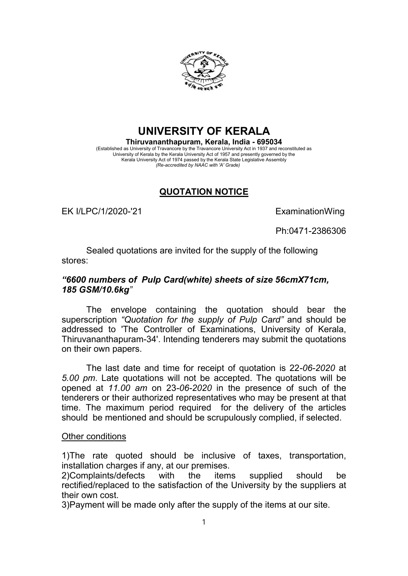

UNIVERSITY OF KERALA

Thiruvananthapuram, Kerala, India - 695034 (Established as University of Travancore by the Travancore University Act in 1937 and reconstituted as University of Kerala by the Kerala University Act of 1957 and presently governed by the Kerala University Act of 1974 passed by the Kerala State Legislative Assembly (Re-accredited by NAAC with 'A' Grade)

## QUOTATION NOTICE

EK I/LPC/1/2020-'21 ExaminationWing

Ph:0471-2386306

Sealed quotations are invited for the supply of the following stores:

## "6600 numbers of Pulp Card(white) sheets of size 56cmX71cm, 185 GSM/10.6kg"

The envelope containing the quotation should bear the superscription "Quotation for the supply of Pulp Card" and should be addressed to 'The Controller of Examinations, University of Kerala, Thiruvananthapuram-34'. Intending tenderers may submit the quotations on their own papers.

The last date and time for receipt of quotation is 22-06-2020 at 5.00 pm. Late quotations will not be accepted. The quotations will be opened at 11.00 am on 23-06-2020 in the presence of such of the tenderers or their authorized representatives who may be present at that time. The maximum period required for the delivery of the articles should be mentioned and should be scrupulously complied, if selected.

## Other conditions

1)The rate quoted should be inclusive of taxes, transportation, installation charges if any, at our premises.

2)Complaints/defects with the items supplied should be rectified/replaced to the satisfaction of the University by the suppliers at their own cost.

3)Payment will be made only after the supply of the items at our site.